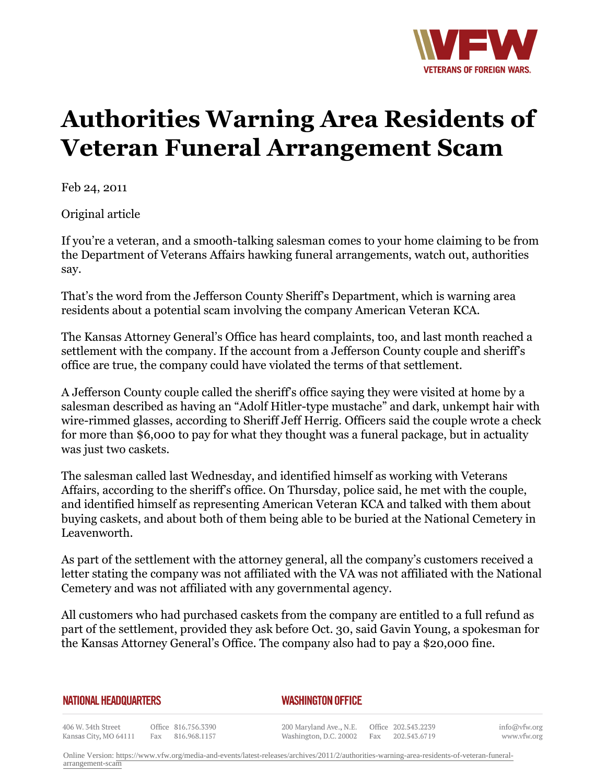

## **Authorities Warning Area Residents of Veteran Funeral Arrangement Scam**

Feb 24, 2011

Original article

If you're a veteran, and a smooth-talking salesman comes to your home claiming to be from the Department of Veterans Affairs hawking funeral arrangements, watch out, authorities say.

That's the word from the Jefferson County Sheriff's Department, which is warning area residents about a potential scam involving the company American Veteran KCA.

The Kansas Attorney General's Office has heard complaints, too, and last month reached a settlement with the company. If the account from a Jefferson County couple and sheriff's office are true, the company could have violated the terms of that settlement.

A Jefferson County couple called the sheriff's office saying they were visited at home by a salesman described as having an "Adolf Hitler-type mustache" and dark, unkempt hair with wire-rimmed glasses, according to Sheriff Jeff Herrig. Officers said the couple wrote a check for more than \$6,000 to pay for what they thought was a funeral package, but in actuality was just two caskets.

The salesman called last Wednesday, and identified himself as working with Veterans Affairs, according to the sheriff's office. On Thursday, police said, he met with the couple, and identified himself as representing American Veteran KCA and talked with them about buying caskets, and about both of them being able to be buried at the National Cemetery in Leavenworth.

As part of the settlement with the attorney general, all the company's customers received a letter stating the company was not affiliated with the VA was not affiliated with the National Cemetery and was not affiliated with any governmental agency.

All customers who had purchased caskets from the company are entitled to a full refund as part of the settlement, provided they ask before Oct. 30, said Gavin Young, a spokesman for the Kansas Attorney General's Office. The company also had to pay a \$20,000 fine.

## **NATIONAL HEADQUARTERS**

*WASHINGTON OFFICE* 

406 W. 34th Street Office 816.756.3390 Fax 816.968.1157 Kansas City, MO 64111

200 Maryland Ave., N.E. Washington, D.C. 20002

Office 202.543.2239 Fax 202.543.6719 info@vfw.org www.vfw.org

Online Version: [https://www.vfw.org/media-and-events/latest-releases/archives/2011/2/authorities-warning-area-residents-of-veteran-funeral](https://www.vfw.org/media-and-events/latest-releases/archives/2011/2/authorities-warning-area-residents-of-veteran-funeral-arrangement-scam)[arrangement-scam](https://www.vfw.org/media-and-events/latest-releases/archives/2011/2/authorities-warning-area-residents-of-veteran-funeral-arrangement-scam)